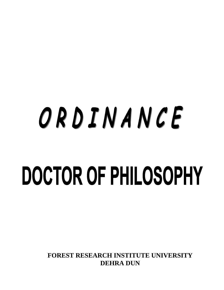# ORDINANCE DOCTOR OF PHILOSOPHY

**FOREST RESEARCH INSTITUTE UNIVERSITY DEHRA DUN**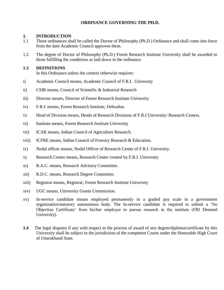#### **ORDINANCE GOVERNING THE PH.D.**

#### **1. INTRODUCTION**

- 1.1 These ordinances shall be called the Doctor of Philosophy (Ph.D.) Ordinance and shall come into force from the date Academic Council approves them.
- 1.2 The degree of Doctor of Philosophy (Ph.D.) Forest Research Institute University shall be awarded to those fulfilling the conditions as laid down in the ordinance.

#### **1.3 DEFINITIONS**

In this Ordinance unless the context otherwise requires:

- i) Academic Council means, Academic Council of F.R.I. University
- ii) CSIR means, Council of Scientific & Industrial Research
- iii) Director means, Director of Forest Research Institute University
- iv) F.R.I. means, Forest Research Institute, Dehradun.
- v) Head of Division means, Heads of Research Divisions of F.R.I University/ Research Centers.
- vi) Institute means, Forest Research Institute University
- vii) ICAR means, Indian Council of Agriculture Research.
- viii) ICFRE means, Indian Council of Forestry Research & Education.
- ix) Nodal officer means, Nodal Officer of Research Center of F.R.I. University.
- x) Research Center means, Research Center created by F.R.I. University
- xi) R.A.C. means, Research Advisory Committee.
- xii) R.D.C. means, Research Degree Committee.
- xiii) Registrar means, Registrar, Forest Research Institute University
- xiv) UGC means, University Grants Commission.
- xv) In-service candidate means employed permanently in a graded pay scale in a government organization/statutory autonomous body. The In-service candidate is required to submit a 'No Objection Certificate' from his/her employer to pursue research in the institute (FRI Deemed University).
- **1.4** The legal disputes if any with respect to the process of award of any degree/diploma/certificate by this University shall be subject to the jurisdiction of the competent Courts under the Honorable High Court of Uttarakhand State.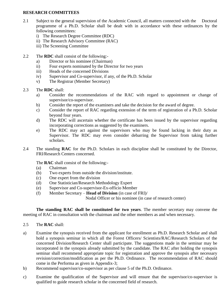#### **RESEARCH COMMITTEES**

- 2.1 Subject to the general supervision of the Academic Council, all matters connected with the Doctoral programme of a Ph.D. Scholar shall be dealt with in accordance with these ordinances by the following committees:
	- i) The Research Degree Committee (RDC)
	- ii) The Research Advisory Committee (RAC)
	- iii) The Screening Committee
- 2.2 The **RDC** shall consist of the following:
	- a) Director or his nominee (Chairman)
	- ii) Four experts nominated by the Director for two years
	- iii) Heads of the concerned Divisions
	- iv) Supervisor and Co-supervisor, if any, of the Ph.D. Scholar
	- v) The Registrar (Member Secretary)
- 2.3 The **RDC** shall:
	- a) Consider the recommendations of the RAC with regard to appointment or change of supervisor/co-supervisor.
	- b) Consider the report of the examiners and take the decision for the award of degree.
	- c) Consider the report of RAC regarding extension of the term of registration of a Ph.D. Scholar beyond four years.
	- d) The RDC will ascertain whether the certificate has been issued by the supervisor regarding incorporating corrections as suggested by the examiners.
	- e) The RDC may act against the supervisors who may be found lacking in their duty as Supervisor. The RDC may even consider debarring the Supervisor from taking further scholars.
- 2.4 The standing **RAC** for the Ph.D. Scholars in each discipline shall be constituted by the Director, FRI/Research Centers concerned.

#### The **RAC** shall consist of the following:-

- (a) Chairman
- (b) Two experts from outside the division/institute.
- (c) One expert from the division
- (d) One Statistician/Research Methodology Expert
- (e) Supervisor and Co-supervisor-Ex-officio Member
- (f) Member Secretary **Head of Division** (in case of FRI)/

Nodal Officer or his nominee (in case of research center)

 **The standing RAC shall be constituted for two years**. The member secretary may convene the meeting of RAC in consultation with the chairman and the other members as and when necessary.

- 2.5 The **RAC** shall:
- a) Examine the synopsis received from the applicant for enrollment as Ph.D. Research Scholar and shall hold a synopsis seminar in which all the Forest Officers/ Scientists/RAC/Research Scholars of the concerned Division/Research Center shall participate. The suggestions made in the seminar may be incorporated in the synopsis already submitted by the candidate. The RAC after holding the synopsis seminar shall recommend appropriate topic for registration and approve the synopsis after necessary revision/correction/modification as per the Ph.D. Ordinance. The recommendation of RAC should come in the Performa as given in Appendix-3;
- b) Recommend supervisor/co-supervisor as per clause 5 of the Ph.D. Ordinance.
- c) Examine the qualification of the Supervisor and will ensure that the supervisor/co-supervisor is qualified to guide research scholar in the concerned field of research.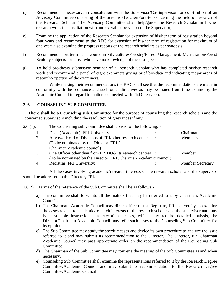- d) Recommend, if necessary, in consultation with the Supervisor/Co-Supervisor for constitution of an Advisory Committee consisting of the Scientist/Teacher/Forester concerning the field of research of the Research Scholar. The Advisory Committee shall help/guide the Research Scholar in his/her research work in consultation with and overall supervision of the Supervisor;
- e) Examine the application of the Research Scholar for extension of his/her term of registration beyond four years and recommend to the RDC for extension of his/her term of registration for maximum of one year; also examine the progress reports of the research scholars as per synopsis
- f) Recommend short-term basic course in Silviculture/Forestry/Forest Management/ Mensuration/Forest Ecology subjects for those who have no knowledge of these subjects;
- g) To hold pre-thesis submission seminar of a Research Scholar who has completed his/her research work and recommend a panel of eight examiners giving brief bio-data and indicating major areas of research/expertise of the examiners.

 While making their recommendations the RAC shall see that the recommendations are made in conformity with the ordinance and such other directives as may be issued from time to time by the Academic Council in regard to matters connected with Ph.D. research.

#### **2 .6 COUNSELING SUB COMMITTEE**

**There shall be a Counseling sub Committee** for the purpose of counseling the research scholars and the concerned supervisors including the resolution of grievances if any.

| $2.6(1)$ . | The Counseling sub Committee shall consist of the following: -   |  |                         |
|------------|------------------------------------------------------------------|--|-------------------------|
|            | Dean (Academic), FRI University                                  |  | Chairman                |
| 2.         | Any two Head of Divisions of FRI/other research center           |  | <b>Members</b>          |
|            | (To be nominated by the Director, FRI /                          |  |                         |
|            | Chairman Academic council)                                       |  |                         |
| 3.         | One Officer other than from FRIDU& its research centres :        |  | Member                  |
|            | (To be nominated by the Director, FRI/Chairman Academic council) |  |                         |
| 4.         | Registrar, FRI University:                                       |  | <b>Member Secretary</b> |

All the cases involving academic/research interests of the research scholar and the supervisor should be addressed to the Director, FRI.

2.6(2) Terms of the reference of the Sub Committee shall be as follows:-

- a) The committee shall look into all the matters that may be referred to it by Chairman, Academic Council.
- b) The Chairman, Academic Council may direct office of the Registrar, FRI University to examine the cases related to academic/research interests of the research scholar and the supervisor and may issue suitable instructions. In exceptional cases, which may require detailed analysis, the Director/Chairman Academic Council may refer such cases to the Counseling Sub Committee for its opinion.
- c) The Sub Committee may study the specific cases and device its own procedure to analyze the issue referred to it and may submit its recommendation to the Director. The Director, FRI/Chairman Academic Council may pass appropriate order on the recommendation of the Counseling Sub Committee.
- d) The Chairman of the Sub Committee may convene the meeting of the Sub Committee as and when necessary.
- e) Counseling Sub Committee shall examine the representations referred to it by the Research Degree Committee/Academic Council and may submit its recommendation to the Research Degree Committee/Academic Council.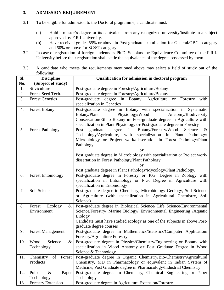#### **3. ADMISSION REQUIREMENT**

- 3.1. To be eligible for admission to the Doctoral programme, a candidate must:
	- (a) Hold a master's degree or its equivalent from any recognized university/institute in a subject approved by F.R.I University.
	- (b) Have received grades 55% or above in Post graduate examination for General/OBC category and 50% or above for SC/ST category.
- 3.2 In case of registration of foreign students as Ph.D. Scholars the Equivalence Committee of the F.R.I. University before their registration shall settle the equivalence of the degree possessed by them.
- 3.3. A candidate who meets the requirements mentioned above may select a field of study out of the following:

| SI. | $10110$ $m_{\rm A}$<br><b>Discipline</b> | Qualification for admission in doctoral program                                                                                    |  |
|-----|------------------------------------------|------------------------------------------------------------------------------------------------------------------------------------|--|
| No. | (Subject of study)                       |                                                                                                                                    |  |
| 1.  | Silviculture                             | Post-graduate degree in Forestry/Agriculture/Botany                                                                                |  |
| 2.  | Forest Seed Tech.                        | Post-graduate degree in Forestry/Agriculture/Botany                                                                                |  |
| 3.  | <b>Forest Genetics</b>                   | degree in Botany, Agriculture<br>Post-graduate<br>Forestry<br>with<br><b>or</b>                                                    |  |
|     |                                          | specialization in Genetics                                                                                                         |  |
| 4.  | <b>Forest Botany</b>                     | Post-graduate degree in Botany with specialization in Systematic                                                                   |  |
|     |                                          | Physiology/Wood<br>Botany/Plant<br>Anatomy/Biodiversity                                                                            |  |
|     |                                          | Conservation/Ethno Botany or Post-graduate degree in Agriculture with                                                              |  |
|     |                                          | specialization in Plant Physiology or Post-graduate degree in Forestry                                                             |  |
| 5.  | <b>Forest Pathology</b>                  | degree<br>Botany/Forestry/Wood<br>Post<br>graduate<br>in<br>Science<br>$\&$                                                        |  |
|     |                                          | Technology/Agriculture, with specialization in Plant Pathology/                                                                    |  |
|     |                                          | Microbiology or Project work/dissertation in Forest Pathology/Plant                                                                |  |
|     |                                          | Pathology.                                                                                                                         |  |
|     |                                          | <b>or</b>                                                                                                                          |  |
|     |                                          | Post graduate degree in Microbiology with specialization or Project work/                                                          |  |
|     |                                          | dissertation in Forest Pathology/Plant Pathology                                                                                   |  |
|     |                                          | or                                                                                                                                 |  |
|     |                                          | Post graduate degree in Plant Pathology/Mycology/Plant Pathology.                                                                  |  |
| 6.  | <b>Forest Entomology</b>                 | Post-graduate degree in Forestry or P.G. Degree in Zoology with<br>specialization in Entomology or P.G. Degree in Agriculture with |  |
|     |                                          | specialization in Entomology                                                                                                       |  |
| 7.  | Soil Science                             | Post-graduate degree in Chemistry, Microbiology Geology, Soil Science                                                              |  |
|     |                                          | or Agriculture (with specialization in Agricultural Chemistry, Soil                                                                |  |
|     |                                          | Science)                                                                                                                           |  |
| 8.  | Forest Ecology<br>&                      | Post-graduate degree in Biological Science/ Life Science/Environmental                                                             |  |
|     | Environment                              | Science/Forestry/ Marine Biology/ Environmental Engineering /Aquatic                                                               |  |
|     |                                          | <b>Biology</b>                                                                                                                     |  |
|     |                                          | Candidate must have studied ecology as one of the subjects in above Post-                                                          |  |
|     |                                          | graduate degree courses                                                                                                            |  |
| 9.  | <b>Forest Management</b>                 | Post-graduate degree in Mathematics/Statistics/Computer Application/                                                               |  |
|     |                                          | Forestry/Agriculture Forestry                                                                                                      |  |
| 10. | Wood<br>Science<br>&                     | Post-graduate degree in Physics/Chemistry/Engineering or Botany with                                                               |  |
|     | Technology                               | specialization in Wood Anatomy or Post Graduate Degree in Wood                                                                     |  |
|     |                                          | Science & Technology                                                                                                               |  |
| 11. | Chemistry<br>Forest<br>of                | Post-graduate degree in Organic Chemistry/Bio-Chemistry/Agricultural                                                               |  |
|     | Products                                 | Chemistry, MD in Pharmacology or equivalent in Indian System of                                                                    |  |
|     |                                          | Medicine, Post Graduate degree in Pharmacology/Industrial Chemistry                                                                |  |
| 12. | $\&$<br>Pulp<br>Paper                    | Post-graduate degree in Chemistry, Chemical Engineering or Paper                                                                   |  |
|     | Technology                               | Technology                                                                                                                         |  |
| 13. | <b>Forestry Extension</b>                | Post-graduate degree in Agriculture Extension/Forestry                                                                             |  |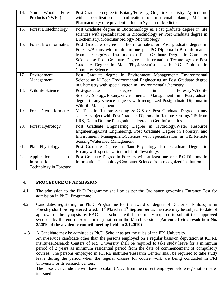| 14. | Wood<br>Forest<br>Non<br>Products (NWFP)                          | Post Graduate degree in Botany/Forestry, Organic Chemistry, Agriculture<br>specialization in cultivation of medicinal plants, MD in<br>with<br>Pharmacology or equivalent in Indian System of Medicine                                                                                                                                                                       |  |
|-----|-------------------------------------------------------------------|------------------------------------------------------------------------------------------------------------------------------------------------------------------------------------------------------------------------------------------------------------------------------------------------------------------------------------------------------------------------------|--|
| 15. | <b>Forest Biotechnology</b>                                       | Post Graduate degree in Biotechnology or Post graduate degree in life<br>sciences with specialization in Biotechnology or Post Graduate degree in<br>Biochemistry/Molecular biology/ Microbiology                                                                                                                                                                            |  |
| 16. | Forest Bio informatics                                            | Post Graduate degree in Bio informatics or Post graduate degree in<br>Forestry/Botany with minimum one year PG Diploma in Bio informatics<br>from a recognized institution or Post Graduate Degree in Computer<br>Science or Post Graduate Degree in Information Technology or Post<br>Graduate Degree in Maths/Physics/Statistics with P.G. Diploma in<br>Computer Science. |  |
| 17. | Environment<br>Management                                         | Post Graduate degree in Environment Management/ Environmental<br>Science or M.Tech Environmental Engineering or Post Graduate degree<br>in Chemistry with specialization in Environmental Chemistry.                                                                                                                                                                         |  |
| 18. | Wildlife Science                                                  | Forestry/Wildlife<br>Post-graduate<br>degree<br>in<br>Science/Zoology/Botany/Environmental Management or Postgraduate<br>degree in any science subjects with recognized Postgraduate Diploma in<br>Wildlife Management.                                                                                                                                                      |  |
| 19. | <b>Forest Geo-informatics</b>                                     | M. Tech in Remote Sensing & GIS or Post Graduate Degree in any<br>science subject with Post Graduate Diploma in Remote Sensing/GIS from<br>IIRS, Dehra Dun or Postgraduate degree in Geo-informatics.                                                                                                                                                                        |  |
| 20. | Forest Hydrology                                                  | Post Graduate Engineering Degree in Hydrology/Water Resource<br>Engineering/Civil Engineering, Post Graduate Degree in Forestry, and<br>Environment Management/Sciences with specialization in GIS/Remote<br>Sensing/Watershed Management.                                                                                                                                   |  |
| 21. | <b>Plant Physiology</b>                                           | Post Graduate Degree in Plant Physiology, Post Graduate Degree in<br>Botany with specialization in Plant Physiology.                                                                                                                                                                                                                                                         |  |
| 22. | Application<br>of<br>Information<br><b>Technology in Forestry</b> | Post Graduate Degree in Forestry with at least one year P.G Diploma in<br>Information Technology/Computer Science from recognized institution.                                                                                                                                                                                                                               |  |

#### 4. **PROCEDURE OF ADMISSION**

- 4.1 The admission to the Ph.D Programme shall be as per the Ordinance governing Entrance Test for admission in Ph.D. Programme
- 4.2 Candidates registering for Ph.D. Programme for the award of degree of Doctor of Philosophy in Forestry **shall be registered w.e.f. 1st March / 1st September** as the case may be subject to date of approval of the synopsis by RAC. The scholar will be normally required to submit their approved synopsis by the end of April for registration in the March session. **(Amended vide resolution No. 2/2010 of the academic council meeting held on 8.1.2010)**
- 4.3 A Candidate may be admitted as Ph.D. Scholar as per the rules of the FRI University. An in-service candidate other than the persons employed on a regular basis/on deputation at ICFRE institutes/Research Centers of FRI University shall be required to take study leave for a minimum period of 2 years as minimum residential period from the date of commencement of compulsory courses. The persons employed in ICFRE institutes/Research Centers shall be required to take study leave during the period when the regular classes for course work are being conducted in FRI University or its research centers.

The in-service candidate will have to submit NOC from the current employer before registration letter is issued.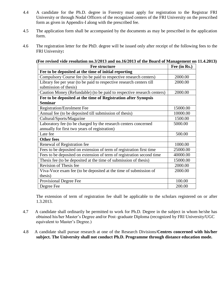- 4.4 A candidate for the Ph.D. degree in Forestry must apply for registration to the Registrar FRI University or through Nodal Officers of the recognized centers of the FRI University on the prescribed form as given in Appendix-I along with the prescribed fee.
- 4.5 The application form shall be accompanied by the documents as may be prescribed in the application form.
- 4.6 The registration letter for the PhD. degree will be issued only after receipt of the following fees to the FRI University**:**

| <b>Fee structure</b>                                                   | Fee (in Rs.) |
|------------------------------------------------------------------------|--------------|
| Fee to be deposited at the time of initial reporting                   |              |
| Compulsory Course fee (to be paid to respective research centers)      | 2000.00      |
| Library fee per year (to be paid to respective research centers till   | 2000.00      |
| submission of thesis)                                                  |              |
| Caution Money (Refundable) (to be paid to respective research centers) | 2000.00      |
| Fee to be deposited at the time of Registration after Synopsis         |              |
| <b>Seminar</b>                                                         |              |
| <b>Registration/Enrolment Fee</b>                                      | 15000.00     |
| Annual fee (to be deposited till submission of thesis)                 | 10000.00     |
| Cultural/Sports/Magazine                                               | 1500.00      |
| Laboratory fee (to be charged by the research centers concerned        | 5000.00      |
| annually for first two years of registration)                          |              |
| Late fee                                                               | 500.00       |
| <b>Other fees</b>                                                      |              |
| Renewal of Registration fee                                            | 1000.00      |
| Fees to be deposited on extension of term of registration first time   | 25000.00     |
| Fees to be deposited on extension of term of registration second time  | 40000.00     |
| Thesis fee (to be deposited at the time of submission of thesis)       | 15000.00     |
| Revision of Thesis fee                                                 | 2000.00      |
| Viva-Voce exam fee (to be deposited at the time of submission of       | 2000.00      |
| thesis)                                                                |              |
| Provisional Degree Fee                                                 | 100.00       |
| Degree Fee                                                             | 200.00       |

#### **(Fee revised vide resolution no.3/2013 and no.16/2013 of the Board of Management on 11.4.2013)**

The extension of term of registration fee shall be applicable to the scholars registered on or after 1.3.2013.

- 4.7 A candidate shall ordinarily be permitted to work for Ph.D. Degree in the subject in whom he/she has obtained his/her Master's Degree and/or Post–graduate Diploma (recognized by FRI University/UGC equivalent to Master's Degree.)
- 4.8 A candidate shall pursue research at one of the Research Divisions/**Centres concerned with his/her subject. The University shall not conduct Ph.D. Programme through distance education mode.**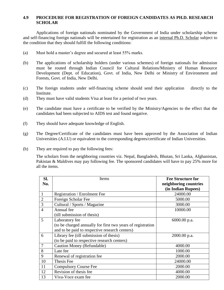#### **4.9 PROCEDURE FOR REGISTRATION OF FOREIGN CANDIDATES AS PH.D. RESEARCH SCHOLAR**

Applications of foreign nationals nominated by the Government of India under scholarship scheme and self-financing foreign nationals will be entertained for registration as an internal Ph.D. Scholar subject to the condition that they should fulfill the following conditions:

- (a) Must hold a master's degree and secured at least 55% marks.
- (b) The applications of scholarship holders (under various schemes) of foreign nationals for admission must be routed through Indian Council for Cultural Relations/Ministry of Human Resource Development (Dept. of Education), Govt. of India, New Delhi or Ministry of Environment and Forests, Govt. of India, New Delhi.
- (c) The foreign students under self-financing scheme should send their application directly to the Institute.
- (d) They must have valid students Visa at least for a period of two years.
- (e) The candidate must have a certificate to be verified by the Ministry/Agencies to the effect that the candidates had been subjected to AIDS test and found negative.
- (f) They should have adequate knowledge of English.
- (g) The Degree/Certificate of the candidates must have been approved by the Association of Indian Universities (A.I.U) or equivalent to the corresponding degrees/certificate of Indian Universities.
- (h) They are required to pay the following fees:

The scholars from the neighboring countries viz. Nepal, Bangladesh, Bhutan, Sri Lanka, Afghanistan, Pakistan & Maldives may pay following fee. The sponsored candidates will have to pay 25% more for all the items.

| SI.<br>No.     | Items                                                       | <b>Fee Structure for</b><br>neighboring countries |
|----------------|-------------------------------------------------------------|---------------------------------------------------|
|                |                                                             | (in Indian Rupees)                                |
| $\mathbf{1}$   | <b>Registration / Enrolment Fee</b>                         | 24000.00                                          |
| $\overline{2}$ | Foreign Scholar Fee                                         | 5000.00                                           |
| 3              | Cultural / Sports / Magazine                                | 3000.00                                           |
| $\overline{4}$ | Annual fee                                                  | 10000.00                                          |
|                | (till submission of thesis)                                 |                                                   |
| 5              | Laboratory fee                                              | 6000.00 p.a.                                      |
|                | (to be charged annually for first two years of registration |                                                   |
|                | and to be paid to respective research centers)              |                                                   |
| 6              | Library fee (till submission of thesis)                     | 2000.00 p.a.                                      |
|                | (to be paid to respective research centers)                 |                                                   |
| $\overline{7}$ | Caution Money (Refundable)                                  | 4000.00                                           |
| 8              | Late fee                                                    | 1000.00                                           |
| 9              | Renewal of registration fee                                 | 2000.00                                           |
| 10             | Thesis Fee                                                  | 24000.00                                          |
| 11             | <b>Compulsory Course Fee</b>                                | 2000.00                                           |
| 12             | Revision of thesis fee                                      | 4000.00                                           |
| 13             | Viva-Voce exam fee                                          | 2000.00                                           |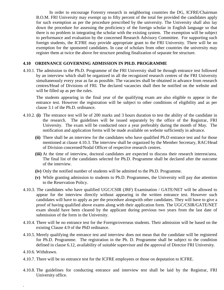In order to encourage Forestry research in neighboring countries the DG, ICFRE/Chairman B.O.M. FRI University may exempt up to fifty percent of the total fee provided the candidates apply for such exemption as per the procedure prescribed by the university. The University shall also lay down the procedure for assessing the proficiency of the foreign scholar in English language so that there is no problem in integrating the scholar with the existing system. The exemption will be subject to performance and evaluation by the concerned Research Advisory Committee. For supporting such foreign students, the ICFRE may provide appropriate grant to the FRI University. There will be no exemption for the sponsored candidates. In case of scholars from other countries the university may register them at twice the above fee structure pending finalization of separate fee structure.

#### **4.10 ORDINANCE GOVERNING ADMISSION IN PH.D. PROGRAMME**

4.10.1. The admission to the Ph.D. Programme of the FRI University shall be through entrance test followed by an interview which shall be organized in all the recognized research centres of the FRI University simultaneously every year as far as possible. The vacancies shall be obtained in advance from research centres/Head of Divisions of FRI. The declared vacancies shall then be notified on the website and will be filled up as per the rules.

The students appearing in the final year of the qualifying exam are also eligible to appear in the entrance test. However the registration will be subject to other conditions of eligibility and as per clause 3.1 of the Ph.D. ordinance.

- 4.10.2. **(i)** The entrance test will be of 200 marks and 3 hours duration to test the ability of the candidate in the research. The guidelines will be issued separately by the office of the Registrar, FRI University. The exam will be conducted once a year preferably during the month of May. The notification and application forms will be made available on website sufficiently in advance.
	- **(ii)** There shall be an interview for the candidates who have qualified Ph.D entrance test and for those mentioned at clause 4.10.3. The interview shall be organized by the Member Secretary, RAC/Head of Division concerned/Nodal Officer of respective research centres.
	- **(iii)** At the time of interview, doctoral candidates are expected to discuss their research interest/area. The final list of the candidates selected for Ph.D. Programme shall be declared after the outcome of the interview.
	- **(iv)** Only the notified number of students will be admitted to the Ph.D. Programme.
	- **(v)** While granting admission to students to Ph.D. Programmes, the University will pay due attention to the Reservation Policy.
- 4.10.3. The candidates who have qualified UGC/CSIR (JRF) Examination / GATE/NET will be allowed to appear for the interview directly without appearing in the written entrance test. However such candidates will have to apply as per the procedure alongwith other candidates. They will have to give a proof of having qualified above exams along with their application form. The UGC/CSIR/GATE/NET exam should have been cleared by the applicant during previous two years from the last date of submission of the form in the University.
- 4.10.4. There will be no entrance test for the Foreign/overseas students. Their admission will be based on the existing Clause 4.9 of the PhD ordinance.
- 4.10.5. Merely qualifying the entrance test and interview does not mean that the candidate will be registered for Ph.D. Programme. The registration in the Ph. D. Programme shall be subject to the condition defined in clause 6.12, availability of suitable supervisor and the approval of Director FRI University.
- 4.10.6. Withdrawn.

.

- 4.10.7. There will be no entrance test for the ICFRE employees or those on deputation to ICFRE.
- 4.10.8. The guidelines for conducting entrance and interview test shall be laid by the Registrar, FRI University office.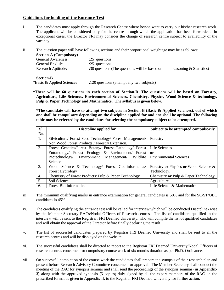#### **Guidelines for holding of the Entrance Test**

- i. The candidates must apply through the Research Centre where he/she want to carry out his/her research work. The applicant will be considered only for the centre through which the application has been forwarded. In exceptional cases, the Director FRI may consider the change of research centre subject to availability of the vacancy.
- ii. The question paper will have following sections and their proportional weightage may be as follows:

| <b>Section-A (Compulsory)</b> |                                               |                         |
|-------------------------------|-----------------------------------------------|-------------------------|
| <b>General Awareness:</b>     | $:25$ questions                               |                         |
| General English:              | $:25$ questions                               |                         |
| <b>Research Aptitude:</b>     | :30 questions (The questions will be based on | reasoning & Statistics) |
|                               |                                               |                         |
| <b>Section-B</b>              |                                               |                         |

\*Basic & Applied Sciences :120 questions (attempt any two subjects)

**\*There will be 60 questions in each section of Section-B. The questions will be based on Forestry, Agriculture, Life Sciences, Environmental Sciences, Chemistry, Physics, Wood Science & technology, Pulp & Paper Technology and Mathematics. The syllabus is given below.**

**\*The candidate will have to attempt two subjects in Section-B (Basic & Applied Sciences), out of which one shall be compulsory depending on the discipline applied for and one shall be optional. The following table may be referred by the candidates for selecting the compulsory subject to be attempted.**

| SI. | Discipline applied for                                                 | Subject to be attempted compulsorily  |
|-----|------------------------------------------------------------------------|---------------------------------------|
| No. |                                                                        |                                       |
| 1.  | Silviculture/ Forest Seed Technology/ Forest Management/               | Forestry                              |
|     | Non Wood Forest Products / Forestry Extension.                         |                                       |
| 2.  | Forest Genetics/Forest Botany/ Forest Pathology/ Forest                | Life Sciences                         |
|     | Entomology/ Forest Ecology & Environment/ Forest                       | or                                    |
|     | Biotechnology/ Environment Management/ Wildlife Environmental Sciences |                                       |
|     | Science                                                                |                                       |
| 3.  | Wood Science & Technology/ Forest Geo-informatics/                     | Forestry or Physics or Wood Science & |
|     | Forest Hydrology                                                       | Technology.                           |
| 4.  | Chemistry of Forest Products/ Pulp & Paper Technology.                 | Chemistry or Pulp & Paper Technology  |
| 5.  | Soil Science                                                           | Agriculture                           |
| 6.  | <b>Forest Bio-informatics</b>                                          | Life Science $\&$ Mathematics         |

- iii. The minimum qualifying marks in entrance examination for general candidates is 50% and for the SC/ST/OBC candidates is 45%.
- iv. The candidates qualifying the entrance test will be called for interview which will be conducted Discipline- wise by the Member Secretary RACs/Nodal Officers of Research centres. The list of candidates qualified in the interview will be sent to the Registrar, FRI Deemed University, who will compile the list of qualified candidates and will obtain the approval of the Director before finally declaring the result.
- v. The list of successful candidates prepared by Registrar FRI Deemed University and shall be sent to all the research centres and will be displayed on the website.
- vi. The successful candidates shall be directed to report to the Registrar FRI Deemed University/Nodal Officers of research centres concerned for compulsory course work of six months duration as per Ph.D. Ordinance.
- vii. On successful completion of the course work the candidates shall prepare the synopsis of their research plan and present before Research Advisory Committee concerned for approval. The Member Secretary shall conduct the meeting of the RAC for synopsis seminar and shall send the proceedings of the synopsis seminar **(in Appendix-3)** along with the approved synopsis (5 copies) duly signed by all the expert members of the RAC on the prescribed format as given in Appendix-II, to the Registrar FRI Deemed University for further action.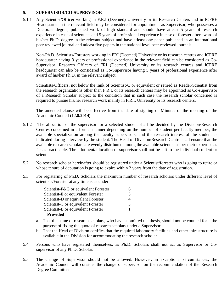#### **5. SUPERVISOR/CO-SUPERVISOR**

5.1.1 Any Scientist/Officer working in F.R.I (Deemed) University or its Research Centers and in ICFRE Headquarter in the relevant field may be considered for appointment as Supervisor, who possesses a Doctorate degree, published work of high standard and should have atleast 5 years of research experience in case of scientists and 5 years of professional experience in case of forester after award of his/her Ph.D. degree in the relevant subject and have atleast one paper published in an international peer reviewed journal and atleast five papers in the national level peer reviewed journals.

Non-Ph.D. Scientists/Foresters working in FRI (Deemed) University or its research centres and ICFRE headquarter having 3 years of professional experience in the relevant field can be considered as Co-Supervisor. Research Officers of FRI (Deemed) University or its research centres and ICFRE headquarter can also be considered as Co-Supervisor having 5 years of professional experience after award of his/her Ph.D. in the relevant subject.

Scientists/Officers, not below the rank of Scientist-C or equivalent or retired as Reader/Scientist from the research organizations other than F.R.I. or its research centers may be appointed as Co-supervisor of a Research Scholar subject to the condition that in such case the research scholar concerned is required to pursue his/her research work mainly in F.R.I. University or its research centers.

The amended clause will be effective from the date of signing of Minutes of the meeting of the Academic Council (12**.8.2014)** 

- 5.1.2 The allocation of the supervisor for a selected student shall be decided by the Division/Research Centres concerned in a formal manner depending on the number of student per faculty member, the available specialization among the faculty supervisors, and the research interest of the student as indicated during interview by the student. The Head of Division/Research Centre shall ensure that the available research scholars are evenly distributed among the available scientist as per their expertise as far as practicable. The allotment/allocation of supervisor shall not be left to the individual student or scientist.
- 5.2 No research scholar hereinafter should be registered under a Scientist/forester who is going to retire or whose tenure of deputation is going to expire within 2 years from the date of registration.
- 5.3 For registering of Ph.D. Scholars the maximum number of research scholars under different level of scientists/Forester at any time is as under:

| Scientist-F&G or equivalent Forester |   |
|--------------------------------------|---|
| Scientist-E or equivalent Forester   | 5 |
| Scientist-D or equivalent Forester   |   |
| Scientist-C or equivalent Forester   | 3 |
| Scientist-B or equivalent Forester   |   |
| <b>Provided</b>                      |   |

- a. That the name of research scholars, who have submitted the thesis, should not be counted for the purpose of fixing the quota of research scholars under a Supervisor.
- b. That the Head of Division certifies that the required laboratory facilities and other infrastructure is available in the Division for accommodating the research scholar
- 5.4 Persons who have registered themselves, as Ph.D. Scholars shall not act as Supervisor or Cosupervisor of any Ph.D. Scholar.
- 5.5 The change of Supervisor should not be allowed. However, in exceptional circumstances, the Academic Council will consider the change of supervisor on the recommendation of the Research Degree Committee.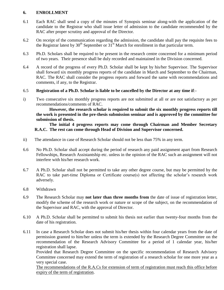#### **6. ENROLLMENT**

- 6.1 Each RAC shall send a copy of the minutes of Synopsis seminar along-with the application of the candidate to the Registrar who shall issue letter of admission to the candidate recommended by the RAC after proper scrutiny and approval of the Director.
- 6.2 On receipt of the communication regarding the admission, the candidate shall pay the requisite fees to the Registrar latest by  $30<sup>th</sup>$  September or  $31<sup>st</sup>$  March for enrollment in that particular term.
- 6.3 Ph.D. Scholars shall be required to be present in the research centre concerned for a minimum period of two years. Their presence shall be duly recorded and maintained in the Division concerned.
- 6.4 A record of the progress of every Ph.D. Scholar shall be kept by his/her Supervisor. The Supervisor shall forward six monthly progress reports of the candidate in March and September to the Chairman, RAC. The RAC shall consider the progress reports and forward the same with recommendations and comments, if any, to the Registrar.

#### 6.5 **Registration of a Ph.D. Scholar is liable to be cancelled by the Director at any time if**:-

i) Two consecutive six monthly progress reports are not submitted at all or are not satisfactory as per recommendations/comments of RAC.

**However, the research scholar is required to submit the six monthly progress reports till the work is presented in the pre-thesis submission seminar and is approved by the committee for submission of thesis.**

#### **The initial 4 progress reports may come through Chairman and Member Secretary R.A.C. The rest can come through Head of Division and Supervisor concerned.**

- ii) The attendance in case of Research Scholar should not be less than 75% in any term.
- 6.6 No Ph.D. Scholar shall accept during the period of research any paid assignment apart from Research Fellowships, Research Assistantship etc. unless in the opinion of the RAC such an assignment will not interfere with his/her research work.
- 6.7 A Ph.D. Scholar shall not be permitted to take any other degree course, but may be permitted by the RAC to take part-time Diploma or Certificate course(s) not affecting the scholar's research work adversely.
- 6.8 Withdrawn
- 6.9 The Research Scholar may **not later than three months from** the date of issue of registration letter, modify the scheme of the research work or nature or scope of the subject, on the recommendation of the Supervisor and RAC, with the approval of Director.
- 6.10 A Ph.D. Scholar shall be permitted to submit his thesis not earlier than twenty-four months from the date of his registration.
- 6.11 In case a Research Scholar does not submit his/her thesis within four calendar years from the date of permission granted to him/her unless the term is extended by the Research Degree Committee on the recommendation of the Research Advisory Committee for a period of 1 calendar year, his/her registration shall lapse.

Provided that Research Degree Committee on the specific recommendation of Research Advisory Committee concerned may extend the term of registration of a research scholar for one more year as a very special case.

The recommendations of the R.A.Cs for extension of term of registration must reach this office before expiry of the term of registration.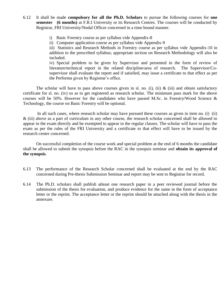- 6.12 It shall be made **compulsory for all the Ph.D. Scholars** to pursue the following courses for **one semester (6 months)** at F.R.I University or its Research Centres. The courses will be conducted by Registrar, FRI University/Nodal Officer concerned in a time bound manner.
	- i) Basic Forestry course as per syllabus vide Appendix-8
	- ii) Computer application course as per syllabus vide Appendix-9

iii) Statistics and Research Methods in Forestry course as per syllabus vide Appendix-10 in addition to the prescribed syllabus; appropriate section on Research Methodology will also be included.

iv) Special problem to be given by Supervisor and presented in the form of review of literature/technical report in the related discipline/area of research. The Supervisor/Cosupervisor shall evaluate the report and if satisfied, may issue a certificate to that effect as per the Performa given by Registrar's office.

The scholar will have to pass above courses given in sl. no. (i), (ii)  $\&$  (iii) and obtain satisfactory certificate for sl. no. (iv) so as to get registered as research scholar. The minimum pass mark for the above courses will be 50%. However for the candidates who have passed M.Sc. in Forestry/Wood Science & Technology, the course on Basic Forestry will be optional.

In all such cases, where research scholar may have pursued these courses as given in item no. (i) (ii) & (iii) above as a part of curriculum in any other course, the research scholar concerned shall be allowed to appear in the exam directly and be exempted to appear in the regular classes. The scholar will have to pass the exam as per the rules of the FRI University and a certificate to that effect will have to be issued by the research center concerned.

On successful completion of the course work and special problem at the end of 6 months the candidate shall be allowed to submit the synopsis before the RAC in the synopsis seminar and **obtain its approval of the synopsis**.

- 6.13 The performance of the Research Scholar concerned shall be evaluated at the end by the RAC concerned during Pre-thesis Submission Seminar and report may be sent to Registrar for record.
- 6.14 The Ph.D. scholars shall publish atleast one research paper in a peer reviewed journal before the submission of the thesis for evaluation, and produce evidence for the same in the form of acceptance letter or the reprint. The acceptance letter or the reprint should be attached along with the thesis in the annexure.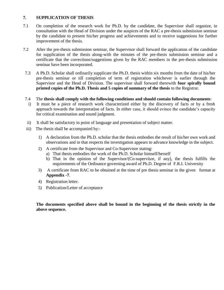#### **7. SUPPLICATION OF THESIS**

- 7.1 On completion of the research work for Ph.D. by the candidate, the Supervisor shall organize, in consultation with the Head of Division under the auspices of the RAC a pre-thesis submission seminar by the candidate to present his/her progress and achievements and to receive suggestions for further improvement of the thesis.
- 7.2 After the pre-thesis submission seminar, the Supervisor shall forward the application of the candidate for supplication of the thesis along-with the minutes of the pre-thesis submission seminar and a certificate that the corrections/suggestions given by the RAC members in the pre-thesis submission seminar have been incorporated.
- 7.3 A Ph.D. Scholar shall ordinarily supplicate the Ph.D. thesis within six months from the date of his/her pre-thesis seminar or till completion of term of registration whichever is earlier through the Supervisor and the Head of Division. The supervisor shall forward therewith **four spirally bound printed copies of the Ph.D. Thesis and 5 copies of summary of the thesis** to the Registrar.
- 7.4 The **thesis shall comply with the following conditions and should contain following documents**:
- i) It must be a piece of research work characterized either by the discovery of facts or by a fresh approach towards the interpretation of facts. In either case, it should evince the candidate's capacity for critical examination and sound judgment.
- ii) It shall be satisfactory in point of language and presentation of subject matter.
- iii) The thesis shall be accompanied by:-
	- 1) A declaration from the Ph.D. scholar that the thesis embodies the result of his/her own work and observations and in that respects the investigation appears to advance knowledge in the subject.
	- 2) A certificate from the Supervisor and Co-Supervisor stating:
		- a) That thesis embodies the work of the Ph.D. Scholar himself/herself
		- b) That in the opinion of the Supervisor/(Co-supervisor, if any), the thesis fulfills the requirements of the Ordinance governing award of Ph.D. Degree of F.R.I. University
	- 3) A certificate from RAC to be obtained at the time of pre thesis seminar in the given format at **Appendix -7**.
	- 4) Registration letter.
	- 5) Publication/Letter of acceptance

#### **The documents specified above shall be bound in the beginning of the thesis strictly in the above sequence.**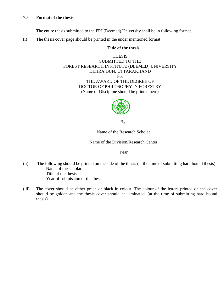#### 7.5. **Format of the thesis**

The entire thesis submitted to the FRI (Deemed) University shall be in following format.

(i) The thesis cover page should be printed in the under mentioned format:

#### **Title of the thesis**

THESIS SUBMITTED TO THE FOREST RESEARCH INSTITUTE (DEEMED) UNIVERSITY DEHRA DUN, UTTARAKHAND For THE AWARD OF THE DEGREE OF DOCTOR OF PHILOSOPHY IN FORESTRY (Name of Discipline should be printed here)



By

Name of the Research Scholar

Name of the Division/Research Center

#### Year

- (ii) The following should be printed on the side of the thesis (at the time of submitting hard bound thesis): Name of the scholar Title of the thesis Year of submission of the thesis
- (iii) The cover should be either green or black in colour. The colour of the letters printed on the cover should be golden and the thesis cover should be laminated. (at the time of submitting hard bound thesis)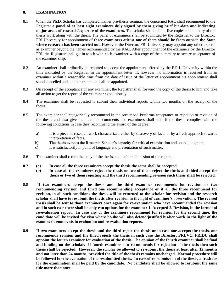#### **8. EXAMINATION**

- 8.1 When the Ph.D. Scholar has completed his/her pre-thesis seminar, the concerned RAC shall recommend to the Registrar **a panel of at least eight examiners duly signed by them giving brief bio-data and indicating major areas of research/expertise of the examiners.** The scholar shall submit five copies of summary of the thesis work along with the thesis. The panel of examiners shall be submitted by the Registrar to the Director, FRI University for appointment of **three examiners atleast one of them should be from outside the State where research has been carried out**. However, the Director, FRI University may appoint any other experts as examiner beyond the names recommended by the RAC. After appointment of the examiners by the Director FRI, the Registrar shall get in touch with each examiner with a copy of the summary to secure acceptance of the examiner ship.
- 8.2 An examiner shall ordinarily be required to accept the appointment offered by the F.R.I. University within the time indicated by the Registrar in the appointment letter. If, however, no information is received from an examiner within a reasonable time from the date of issue of the letter of appointment his appointment shall stand cancelled and another examiner shall be appointed.
- 8.3 On receipt of the acceptance of any examiner, the Registrar shall forward the copy of the thesis to him and take all action to get the report of the examiner expeditiously.
- 8.4 The examiner shall be requested to submit their individual reports within two months on the receipt of the thesis.
- 8.5 The examiner shall categorically recommend in the prescribed Performa acceptance or rejection or revision of the thesis and also give their detailed comments and examiners shall state if the thesis complies with the following conditions in case they recommend the award of the degree.
	- a) It is a piece of research work characterized either by discovery of facts or by a fresh approach towards interpretation of facts.
	- b) The thesis evinces the Research Scholar's capacity for critical examination and sound judgment.
	- c) It is satisfactorily in point of language and presentation of such matter.
- 8.6 The examiner shall return the copy of the thesis, soon after submission of the report.
- **8.7 (a) In case all the three examiners accept the thesis the same shall be accepted.** 
	- **(b) In case all the examiners reject the thesis or two of them reject the thesis and third accept the thesis or two of them rejecting and the third recommending revision such thesis shall be rejected.**
- 8.8 **If two examiners accept the thesis and the third examiner recommends for revision or two recommending revision and third one recommending acceptance or if all the three recommend for revision, in all such conditions the thesis will be returned to the scholar for revision and the research scholar shall have to resubmit the thesis after revision in the light of examiner's observations. The revised thesis shall be sent to those examiners once again for re-evaluation who have recommended for revision and in such case there shall be only two options for the examiner 1. Accepted 2. Revision, in the format of re-evaluation report. In case any of the examiners recommend for revision for the second time, the candidate will be invited for viva where he/she will also defend/justified his/her work in the light of the examiner's comments in evaluation and re-evaluation reports.**
- **8.9 If two examiners accept the thesis and the third reject the thesis or in case one accepts the thesis, one recommends revision and the third rejects the thesis in such case the Director, FRI/VC, FRIDU shall appoint the fourth examiner for evaluation of the thesis. The opinion of the fourth examiner shall be final and binding on the scholar. If fourth examiner also recommends for rejection of the thesis then such thesis shall be rejected. However, the scholar be allowed to re-submit the thesis at least after 12 months and not later than 24 months, provided the title of the thesis remains unchanged. Normal procedure will be followed for the evaluation of the resubmitted thesis. In case of re-submission of the thesis, a fresh fee for the examination shall be paid by the candidate. No candidate shall be allowed to resubmit the same title more than once.**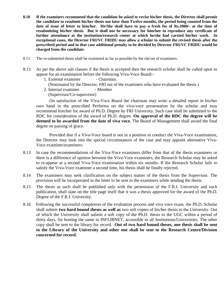- **8.10 If the examiners recommend that the candidate be asked to revise his/her thesis, the Director shall permit the candidate to resubmit his/her thesis not later than Twelve months, the period being counted from the date of issue of letter to him/her. He/She shall have to pay a fresh fee of Rs.2000/- at the time of resubmitting his/her thesis. But it shall not be necessary for him/her to reproduce any certificate of further attendance at the institution/research center at which he/she had carried his/her work. In exceptional cases, the Director FRI/VC FRIDU may allow a scholar to submit the revised thesis after the prescribed period and in that case additional penalty to be decided by Director FRI/VC FRIDU would be charged from the candidate.**
- 8.11 The re-submitted thesis shall be examined as far as possible by the old set of examiners.
- 8.12 As per the above sub clauses if the thesis is accepted then the research scholar shall be called upon to appear for an examination before the following Viva-Voce Board:-
	- 1. External examiner Chairman.
		- (Nominated by the Director, FRI out of the examiners who have evaluated the thesis.)
	- 2. Internal examiner Member
	- (Supervisor/Co-supervisor)

 On satisfaction of the Viva-Voce Board the chairman may write a detailed report in his/her own hand in the prescribed Performa on the viva-voce presentation by the scholar and may recommend him/her for award of Ph.D. Degree by FRI University. Such case shall be submitted to the RDC for consideration of the award of Ph.D. degree. **On approval of the RDC the degree will be deemed to be awarded from the date of viva voce.** The Board of Management shall award the final degree on passing of grace.

Provided that if a Viva-Voce board is not in a position to conduct the Viva-Voce examination, the Director may look into the special circumstances of the case and may appoint alternative Viva-Voce examiner/examiners.

- 8.13 In case the recommendations of the Viva-Voce examiners differ from that of the thesis examiners or there is a difference of opinion between the Viva-Voce examiners, the Research Scholar may be asked to re-appear at a second Viva-Voce examination within six months. If the Research Scholar fails to satisfy the Viva-Voce examiner a second time, his thesis shall be finally rejected.
- 8.14 The examiners may seek clarification on the subject matter of the thesis from the Supervisor. The provision will be incorporated in the letter to be sent to the examiners while sending the thesis.
- 8.15 The thesis as such shall be published only with the permission of the F.R.I. University and such publication, shall state on the title page itself that it was a thesis approved for the award of the Ph.D. Degree of the F.R.I. University.
- 8.16 Following the successful completion of the evaluation process and viva voce exam, the Ph.D. Scholar shall submit **two hard bound theses as well as** two soft copies of his/her thesis to the University. Out of which the University shall submit a soft copy of the Ph.D. thesis to the UGC within a period of thirty days, for hosting the same in INFLIBNET, accessible to all Institutions/Universities. The other copy shall be sent to the library for record. **Out of two hard bound theses, one thesis shall be sent to the Library of the University and other one shall be sent to the Research Centre/Division concerned for record.**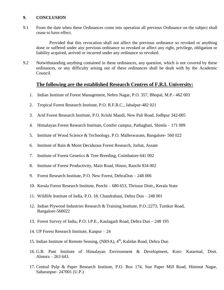#### **9. CONCLUSION**

9.1 From the date when these Ordinances come into operation all previous Ordinance on the subject shall cease to have effect.

Provided that this revocation shall not affect the previous ordinance so revoked or anything done or suffered under any previous ordinance so revoked or affect any right, privilege, obligation or liability acquired, arrived or incurred under any ordinance so revoked.

9.2 Notwithstanding anything contained in these ordinances, any question, which is not covered by these ordinances, or any difficulty arising out of these ordinances shall be dealt with by the Academic Council.

#### **The following are the established Research Centres of F.R.I. University:**

- 1. Indian Institute of Forest Management, Nehru Nagar, P.O. 357, Bhopal, M.P.- 462 003
- 2. Tropical Forest Research Institute, P.O. R.F.R.C., Jabalpur-482 021
- 3. Arid Forest Research Institute, P.O. Krishi Mandi, New Pali Road, Jodhpur 342-005
- 4. Himalayan Forest Research Institute, Conifer campus, Pathaghati, Shimla 171 009
- 5. Institute of Wood Science & Technology, P.O. Malleswaram, Bangalore- 560 022
- 6. Institute of Rain & Moist Deciduous Forest Research, Jorhat, Assam
- 7. Institute of Forest Genetics & Tree Breeding, Coimbatore 641 002
- 8. Institute of Forest Productivity, Main Road, Hinoo, Ranchi 834 002
- 9. Forest Research Institute, P.O. New Forest, DehraDun 248 006
- 10. Kerala Forest Research Institute, Peechi 680 653, Thrissur Distt., Kerala State
- 11. Wildlife Institute of India, P.O. 18, Chandrabani, Dehra Dun 248 001
- 12. Indian Plywood Industries Research & Training Institute, P.O.:2273, Tumkur Road, Bangalore-560022
- 13. Forest Survey of India, P.O: I.P.E., Kaulagarh Road, Dehra Dun 248 195
- 14. UP Forest Research Institute, Kanpur 24
- 15. Indian Institute of Remote Sensing, (NRSA), 4<sup>th</sup>, Kalidas Road, Dehra Dun
- 16. G.B. Pant Institute of Himalayan Environment & Development, Kosi- Katarmal, Distt. Almora – 263 643.
- 17. Central Pulp & Paper Research Institute, P.O. Box 174, Star Paper Mill Road, Himmat Nagar, Saharanpur- 247001 (U.P.)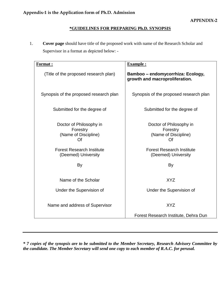#### **\*GUIDELINES FOR PREPARING Ph.D. SYNOPSIS**

1. **Cover page** should have title of the proposed work with name of the Research Scholar and Supervisor in a format as depicted below: -

| <u>Format:</u>                                                    | <b>Example:</b>                                                     |
|-------------------------------------------------------------------|---------------------------------------------------------------------|
| (Title of the proposed research plan)                             | Bamboo – endomycorrhiza: Ecology,<br>growth and macroproliferation. |
| Synopsis of the proposed research plan                            | Synopsis of the proposed research plan                              |
| Submitted for the degree of                                       | Submitted for the degree of                                         |
| Doctor of Philosophy in<br>Forestry<br>(Name of Discipline)<br>Of | Doctor of Philosophy in<br>Forestry<br>(Name of Discipline)<br>Of   |
| <b>Forest Research Institute</b><br>(Deemed) University           | <b>Forest Research Institute</b><br>(Deemed) University             |
| By                                                                | By                                                                  |
| Name of the Scholar                                               | <b>XYZ</b>                                                          |
| Under the Supervision of                                          | Under the Supervision of                                            |
| Name and address of Supervisor                                    | <b>XYZ</b>                                                          |
|                                                                   | Forest Research Institute, Dehra Dun                                |

*\* 7 copies of the synopsis are to be submitted to the Member Secretary, Research Advisory Committee by the candidate. The Member Secretary will send one copy to each member of R.A.C. for perusal.*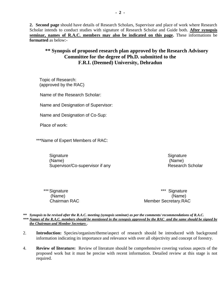**2. Second page** should have details of Research Scholars, Supervisor and place of work where Research Scholar intends to conduct studies with signature of Research Scholar and Guide both. **After synopsis seminar, names of R.A.C. members may also be indicated on this page.** These informations be **formatted** as below:-

#### **\*\* Synopsis of proposed research plan approved by the Research Advisory Committee for the degree of Ph.D. submitted to the F.R.I. (Deemed) University, Dehradun**

Topic of Research: (approved by the RAC)

Name of the Research Scholar:

Name and Designation of Supervisor:

Name and Designation of Co-Sup:

Place of work:

\*\*\*Name of Expert Members of RAC:

Signature Signature Signature Signature Signature Signature Signature Signature Signature Signature Signature (Name) (Name) Supervisor/Co-supervisor if any Research Scholar

\*\*\* Signature \*\*\* Signature \*\*\* Signature (Name) (Name) Chairman RAC **Member Secretary.RAC** 

*\*\* Synopsis to be revised after the R.A.C. meeting (synopsis seminar) as per the comments/ recommendations of R.A.C. \*\*\* Names of the R.A.C. members should be mentioned in the synopsis approved by the RAC and the same should be signed by the Chairman and Member Secretary .*

- 2. **Introduction:** Species/organism/theme/aspect of research should be introduced with background information indicating its importance and relevance with over all objectivity and concept of forestry.
- 4. **Review of literature:** Review of literature should be comprehensive covering various aspects of the proposed work but it must be precise with recent information. Detailed review at this stage is not required.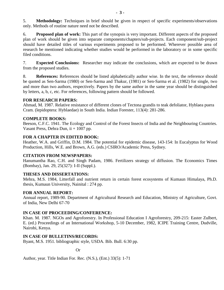5. **Methodology:** Techniques in brief should be given in respect of specific experiments/observations only. Methods of routine nature need not be described.

6. **Proposed plan of work:** This part of the synopsis is very important. Different aspects of the proposed plan of work should be given into separate components/chapters/sub-projects. Each component/sub-project should have detailed titles of various experiments proposed to be performed. Wherever possible area of research be mentioned indicating whether studies would be performed in the laboratory or in some specific filed conditions.

7. **Expected Conclusions:** Researcher may indicate the conclusions, which are expected to be drawn from the proposed studies.

8. **References:** References should be listed alphabetically author wise. In the text, the reference should be quoted as Sen-Sarma (1980) or Sen-Sarma and Thakur, (1981) or Sen-Sarma et al. (1982) for single, two and more than two authors, respectively. Papers by the same author in the same year should be distinguished by letters, a, b, c, etc. For references, following pattern should be followed.

#### **FOR RESEARCH PAPERS:**

Ahmad, M. 1987. Relative resistance of different clones of Tectona grandis to teak defoliator, Hyblaea puera Cram. (lepidoptera: Hyblaedae) in South India. Indian Forester, 113(4): 281-286.

#### **COMPLETE BOOKS:**

Beeson, C.F.C. 1941. The Ecology and Control of the Forest Insects of India and the Neighbouring Countries. Vasant Press, Dehra Dun, ii + 1007 pp.

#### **FOR A CHAPTER IN EDITED BOOK:**

Heather, W.A. and Griffin, D.M. 1984. The potential for epidemic disease, 143-154: In Eucalyptus for Wood Production, Hills, W.E. and Brown, A.G. (eds.) CSIRO/Academic Press, Sydney.

#### **CITATION FROM NEWSPAPERS:**

Hanumantha Rao, C.H. and Singh Padam, 1986. Fertilizers strategy of diffusion. The Economics Times (Bombay), Jan. 29, 25(327): I-II (Suppl.).

#### **THESES AND DISSERTATIONS:**

Mehra, M.S. 1984, Litterfall and nutrient return in certain forest ecosystems of Kumaun Himalaya, Ph.D. thesis, Kumaun University, Nainital : 274 pp.

#### **FOR ANNUAL REPORT:**

Annual report, 1989-90. Department of Agricultural Research and Education, Ministry of Agriculture, Govt. of India, New Delhi 67-70

#### **IN CASE OF PROCEEDING/CONFERENCE:**

Khan. M. 1987. NGOs and Agroforestry. In Professional Education I Agroforestry, 209-215: Easter Zulbert, E. (ed.) Proceedings of an International Workshop, 5-10 December, 1982, ICIPE Training Centre, Dudville, Nairobi, Kenya.

#### **IN CASE OF BULLETINS/RECORDS:**

Byant, M.S. 1951. bibliographic style, USDA. Bib. Bull. 6:30 pp.

Or

Author, year. Title Indian For. Rec. (N.S.), (Ent.) 33(5): 1-71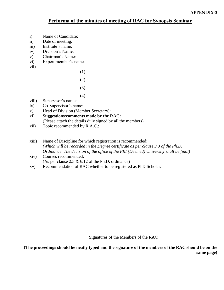#### **Performa of the minutes of meeting of RAC for Synopsis Seminar**

- i) Name of Candidate:
- ii) Date of meeting:
- iii) Institute's name:
- iv) Division's Name:
- v) Chairman's Name:
- vi) Expert member's names:
- vii)

 (1) (2)

- 
- (3) (4)
	- viii) Supervisor's name:
	- ix) Co-Supervisor's name:
	- x) Head of Division (Member Secretary):
	- xi) **Suggestions/comments made by the RAC:** (Please attach the details duly signed by all the members)
	- xii) Topic recommended by R.A.C.:
	- xiii) Name of Discipline for which registration is recommended: *(Which will be recorded in the Degree certificate as per clause 3.3 of the Ph.D. Ordinance. The decision of the office of the FRI (Deemed) University shall be final)*
	- xiv) Courses recommended: (As per clause 2.5 & 6.12 of the Ph.D. ordinance)
	- xv) Recommendation of RAC whether to be registered as PhD Scholar:

Signatures of the Members of the RAC

**(The proceedings should be neatly typed and the signature of the members of the RAC should be on the same page)**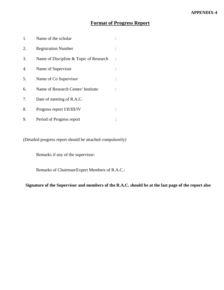### **Format of Progress Report**

| 1. | Name of the scholar                    |  |
|----|----------------------------------------|--|
| 2. | <b>Registration Number</b>             |  |
| 3. | Name of Discipline & Topic of Research |  |
| 4. | Name of Supervisor                     |  |
| 5. | Name of Co Supervisor                  |  |
| 6. | Name of Research Center/ Institute     |  |
| 7. | Date of meeting of R.A.C.              |  |
| 8. | Progress report I/II/III/IV            |  |
| 9. | Period of Progress report              |  |

(Detailed progress report should be attached compulsorily)

Remarks if any of the supervisor:

Remarks of Chairman/Expert Members of R.A.C.:

**Signature of the Supervisor and members of the R.A.C. should be at the last page of the report also**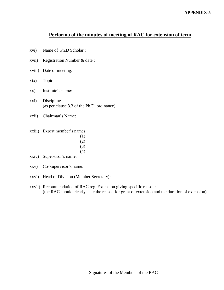#### **Performa of the minutes of meeting of RAC for extension of term**

- xvi) Name of Ph.D Scholar :
- xvii) Registration Number & date :
- xviii) Date of meeting:
- xix) Topic :
- xx) Institute's name:
- xxi) Discipline (as per clause 3.3 of the Ph.D. ordinance)
- xxii) Chairman's Name:
- xxiii) Expert member's names:
- (1) (2)
- (3)
	- (4)
	- xxiv) Supervisor's name:
	- xxv) Co-Supervisor's name:
	- xxvi) Head of Division (Member Secretary):
	- xxvii) Recommendation of RAC reg. Extension giving specific reason: (the RAC should clearly state the reason for grant of extension and the duration of extension)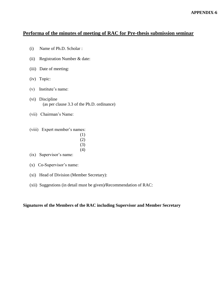#### **Performa of the minutes of meeting of RAC for Pre-thesis submission seminar**

- (i) Name of Ph.D. Scholar :
- (ii) Registration Number & date:
- (iii) Date of meeting:
- (iv) Topic:
- (v) Institute's name:
- (vi) Discipline (as per clause 3.3 of the Ph.D. ordinance)
- (vii) Chairman's Name:
- (viii) Expert member's names:
- (1)
- (2) (3)
	- (4)
	- (ix) Supervisor's name:
	- (x) Co-Supervisor's name:
	- (xi) Head of Division (Member Secretary):
	- (xii) Suggestions (in detail must be given)**/**Recommendation of RAC:

#### **Signatures of the Members of the RAC including Supervisor and Member Secretary**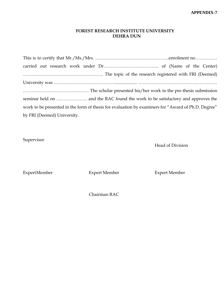#### **FOREST RESEARCH INSTITUTE UNIVERSITY DEHRA DUN**

This is to certify that Mr./Ms./Mrs. .…………………………………………..enrolment no…………… carried out research work under Dr……………………………….. of (Name of the Center) ………………………………………………. The topic of the research registered with FRI (Deemed) University was …………………………………….................... ……………………………………………… ……………………………………… The scholar presented his/her work in the pre-thesis submission seminar held on ………………… and the RAC found the work to be satisfactory and approves the work to be presented in the form of thesis for evaluation by examiners for "Award of Ph.D. Degree" by FRI (Deemed) University.

Supervisor

Head of Division

ExpertMember Expert Member Expert Member

Chairman RAC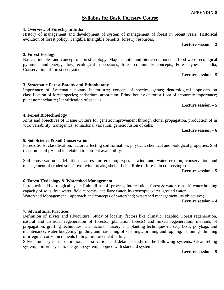#### **APPENDIX-8**

#### **Syllabus for Basic Forestry Course**

History of management and development of system of management of forest in recent years. Historical

#### **1. Overview of Forestry in India**

#### **Lecture session – 2**

#### **2. Forest Ecology**

Basic principles and concept of forest ecology, Major abiotic and biotic components, food webs, ecological pyramids and energy flow, ecological successions, forest community concepts; Forest types in India, Conservation of forest ecosystems.

#### **Lecture session – 5**

#### **3. Systematic Forest Botany and Ethnobotany**

evolution of forest policy; Tangible/Intangible benefits, forestry resources.

Importance of Systematic botany in forestry; concept of species, genus; dendrological approach on classification of forest species; herbarium, arboretum; Ethno botany of forest flora of economic importance; plant nomenclature; Identification of species.

#### **Lecture session – 5**

#### **4. Forest Biotechnology**

Aims and objectives of Tissue Culture for genetic improvement through clonal propagation, production of in vitro variability, transgenics, somaclonal variation, genetic fusion of cells.

#### **Lecture session – 6**

#### **5. Soil Science & Soil Conservation**

Forests Soils, classification, factors affecting soil formation; physical, chemical and biological properties. Soil reaction - soil pH and its relation to nutrient availability.

Soil conservation - definition, causes for erosion; types - wind and water erosion; conservation and management of eroded soils/areas, wind breaks, shelter belts; Role of forests in conserving soils.

#### **Lecture session – 5**

#### **6. Forest Hydrology & Watershed Management**

Introduction, Hydrological cycle, Rainfall-runoff process, Interception, forest & water, run-off, water holding capacity of soils, free water, field capacity, capillary water, hygroscopic water, ground water.

Watershed Management – approach and concepts of watershed; watershed management, its objectives;

#### **Lecture session – 4**

#### **7. Silvicultural Practices**

Definition of silvics and silviculture, Study of locality factors like climatic, edaphic, Forest regeneration, natural and artificial regeneration of forests, (plantation forests) and mixed regeneration; methods of propagation, grafting techniques; site factors; nursery and planting techniques-nursery beds, polybags and maintenance, water budgeting, grading and hardening of seedlings, pruning and lopping. Thinning- thinning of irregular corps, increments felling, improvement felling.

Silvicultural system - definition, classification and detailed study of the following systems: Clear felling system; uniform system; the group system; coppice with standard system;

#### **Lecture session – 5**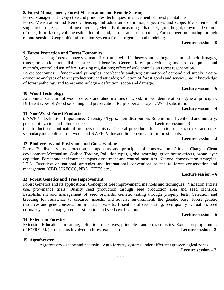#### **8. Forest Management, Forest Mensuration and Remote Sensing**

Forest Management - Objective and principles; techniques; management of forest plantations.

Forest Mensuration and Remote Sensing: Introduction - definition, objectives and scope. Measurement of single tree - object, place of measurement, Methods of measuring - diameter, girth, height, crown and volume of trees; form-factor; volume estimation of stand, current annual increment; Forest cover monitoring through remote sensing; Geographic Information Systems for management and modeling.

#### **Lecture session – 5**

#### **9. Forest Protection and Forest Economics**

Agencies causing forest damage viz. man, fire, cattle, wildlife, insects and pathogens nature of their damages, cause, prevention, remedial measures and benefits. General forest protection against fire, equipment and methods, controlled use of fire. Grazing regulations; effect of wild animals on forest regeneration.

Forest economics: – fundamental principles, cost-benefit analyses; estimation of demand and supply; Socioeconomic analyses of forest productivity and attitudes; valuation of forest goods and service. Basic knowledge of forest pathology and forest entomology – definition, scope and damage.

#### **10. Wood Technology**

Anatomical structure of wood, defects and abnormalities of wood, timber identification - general principles. Different types of Wood seasoning and preservation; Pulp-paper and rayon; Wood substitution.

#### **11. Non-Wood Forest Products**

#### **i.** NWFP – Definition, Importance, Diversity / Types, their distribution, Role in rural livelihood and industry, present utilization and future scope. **Lecture session – 3**

**ii.** Introduction about natural products chemistry; General procedures for isolation of extractives, and other secondary metabolites from wood and NWFP; Value addition chemical from forest plants.

#### **12. Biodiversity and Environmental Conservation:**

Forest Biodiversity, its protection, components and principles of conservation, Climate Change, Clean development Mechanism, Carbon Trading, Pollution types, global warming, green house effects, ozone layer depletion, Forest and environment impact assessment and control measures. National conservation strategies. I.F.A. Overview on national strategies and international conventions related to forest conservation and management (CBD, UNFCCC, NBA, CITES etc.)

#### **13. Forest Genetics and Tree Improvement**

Forest Genetics and its applications. Concept of tree improvement, methods and techniques. Variation and its use, provenance trials. Quality seed production through seed production area and seed orchards. Establishment and management of seed orchards. Genetic testing through progeny tests. Selection and breeding for resistance to diseases, insects, and adverse environment; the genetic base, forest genetic resources and gene conservation in situ and ex-situ. Essentials of seed testing, seed quality evaluation, seed dormancy, seed storage, seed classification and seed certification.

#### **14. Extension Forestry**

Extension Education - meaning, definition, objectives, principles, and characteristics. Extension programmes of ICFRE. Major elements involved in forest extension. **Lecture session – 2**

#### **15. Agroforestry**

Agroforestry - scope and necessity; Agro forestry systems under different agro-ecological zones;

**Lecture session – 2**

**………**

# **Lecture session – 4**

**Lecture session – 6**

#### **Lecture session – 6**

#### **Lecture session – 6**

## **Lecture session – 4**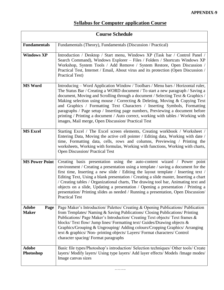## **Syllabus for Computer application Course**

| <b>Course Schedule</b>               |                                                                                                                                                                                                                                                                                                                                                                                                                                                                                                                                                                                                                                                  |  |
|--------------------------------------|--------------------------------------------------------------------------------------------------------------------------------------------------------------------------------------------------------------------------------------------------------------------------------------------------------------------------------------------------------------------------------------------------------------------------------------------------------------------------------------------------------------------------------------------------------------------------------------------------------------------------------------------------|--|
| <b>Fundamentals</b>                  | Fundamentals (Theory), Fundamentals (Discussion / Practical)                                                                                                                                                                                                                                                                                                                                                                                                                                                                                                                                                                                     |  |
| <b>Windows XP</b>                    | Introduction / Desktop / Start menu, Windows XP (Task bar / Control Panel /<br>Search Command), Windows Explorer - Files / Folders / Shortcuts Windows XP<br>Workshop, System Tools / Add Remove / System Restore, Open Discussion /<br>Practical Test, Internet / Email, About virus and its protection (Open Discussion /<br><b>Practical Test)</b>                                                                                                                                                                                                                                                                                            |  |
| <b>MS Word</b>                       | Introducing – Word Application Window / Toolbars / Menu bars / Horizontal ruler,<br>The Status Bar / Creating a WORD document / To start a new paragraph / Saving a<br>document, Moving and Scrolling through a document / Selecting Text & Graphics /<br>Making selection using mouse / Correcting & Deleting, Moving & Copying Text<br>and Graphics / Formatting Text Characters / Inserting Symbols, Formatting<br>paragraphs / Page setup / Inserting page numbers, Previewing a document before<br>printing / Printing a document / Auto correct, working with tables / Working with<br>images, Mail merge, Open Discussion/ Practical Test |  |
| <b>MS Excel</b>                      | Starting Excel / The Excel screen elements, Creating workbook / Worksheet /<br>Entering Data, Moving the active cell pointer / Editing data, Working with date /<br>time, Formatting data, cells, rows and columns, Previewing / Printing the<br>worksheets, Working with formulas, Working with functions, Working with charts,<br><b>Open Discussion/Practical Test</b>                                                                                                                                                                                                                                                                        |  |
| <b>MS Power Point</b>                | Creating basis presentation using the auto-content wizard / Power point<br>environment / Creating a presentation using a template / saving a document for the<br>first time, Inserting a new slide / Editing the layout template / Inserting text /<br>Editing Text, Using a blank presentation / Creating a slide master, Inserting a chart<br>/ Creating tables / Organizational charts, The drawing tool bar, Animating text and<br>objects on a slide, Updating a presentation / Opening a presentation / Printing a<br>presentation/Printing slides as needed / Running a presentation, Open Discussion/<br><b>Practical Test</b>           |  |
| <b>Adobe</b><br>Page<br><b>Maker</b> | Page Maker's Introduction/ Palettes/ Creating & Opening Publications/ Publication<br>from Templates/ Naming & Saving Publications/ Closing Publications/ Printing<br>Publications/ Page Maker's Introduction/ Creating Text objects/ Text frames &<br>blocks/Text flow/Jump lines/Formatting text/Guides/Drawing objects &<br>Graphics/Grouping & Ungrouping/Adding colours/Cropping Graphics/Arranging<br>text & graphics/ Non- printing objects/ Layers/ Format characters/ Control<br>character spacing/Format paragraphs                                                                                                                     |  |
| <b>Adobe</b><br>Photoshop            | Basic file types/Photoshop's introduction/Selection techniques/Other tools/Create<br>layers/ Modify layers/ Using type layers/ Add layer effects/ Models /Image modes/<br>Image canvas sizes                                                                                                                                                                                                                                                                                                                                                                                                                                                     |  |